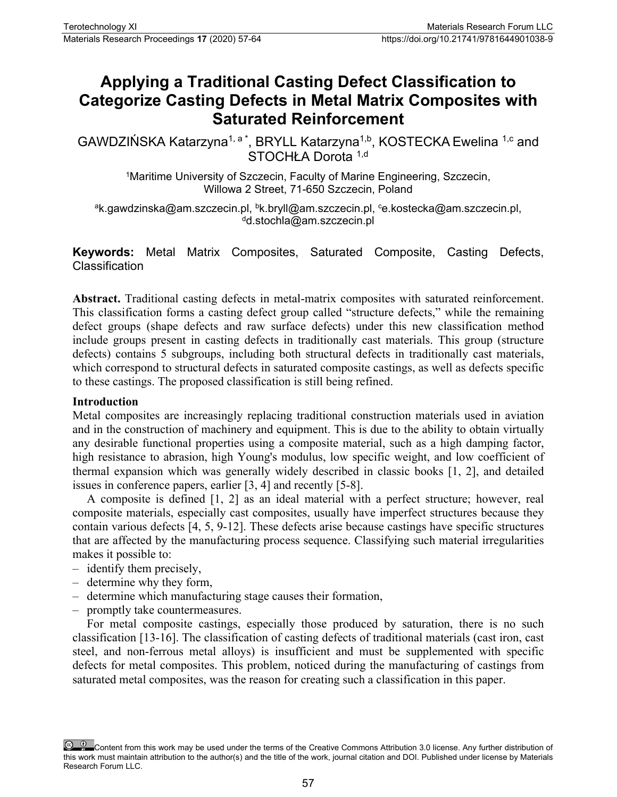# **Applying a Traditional Casting Defect Classification to Categorize Casting Defects in Metal Matrix Composites with Saturated Reinforcement**

GAWDZIŃSKA Katarzyna<sup>1, a \*</sup>, BRYLL Katarzyna<sup>1,b</sup>, KOSTECKA Ewelina <sup>1,c</sup> and STOCHŁA Dorota 1,d

> <sup>1</sup>Maritime University of Szczecin, Faculty of Marine Engineering, Szczecin, Willowa 2 Street, 71-650 Szczecin, Poland

<sup>a</sup>k.gawdzinska@am.szczecin.pl, <sup>b</sup>k.bryll@am.szczecin.pl, ce.kostecka@am.szczecin.pl, d.stochla@am.szczecin.pl

**Keywords:** Metal Matrix Composites, Saturated Composite, Casting Defects, Classification

**Abstract.** Traditional casting defects in metal-matrix composites with saturated reinforcement. This classification forms a casting defect group called "structure defects," while the remaining defect groups (shape defects and raw surface defects) under this new classification method include groups present in casting defects in traditionally cast materials. This group (structure defects) contains 5 subgroups, including both structural defects in traditionally cast materials, which correspond to structural defects in saturated composite castings, as well as defects specific to these castings. The proposed classification is still being refined.

## **Introduction**

Metal composites are increasingly replacing traditional construction materials used in aviation and in the construction of machinery and equipment. This is due to the ability to obtain virtually any desirable functional properties using a composite material, such as a high damping factor, high resistance to abrasion, high Young's modulus, low specific weight, and low coefficient of thermal expansion which was generally widely described in classic books [1, 2], and detailed issues in conference papers, earlier [3, 4] and recently [5-8].

A composite is defined [1, 2] as an ideal material with a perfect structure; however, real composite materials, especially cast composites, usually have imperfect structures because they contain various defects [4, 5, 9-12]. These defects arise because castings have specific structures that are affected by the manufacturing process sequence. Classifying such material irregularities makes it possible to:

- identify them precisely,
- determine why they form,
- determine which manufacturing stage causes their formation,
- promptly take countermeasures.

For metal composite castings, especially those produced by saturation, there is no such classification [13-16]. The classification of casting defects of traditional materials (cast iron, cast steel, and non-ferrous metal alloys) is insufficient and must be supplemented with specific defects for metal composites. This problem, noticed during the manufacturing of castings from saturated metal composites, was the reason for creating such a classification in this paper.

Content from this work may be used under the terms of the Creative Commons Attribution 3.0 license. Any further distribution of this work must maintain attribution to the author(s) and the title of the work, journal citation and DOI. Published under license by Materials Research Forum LLC.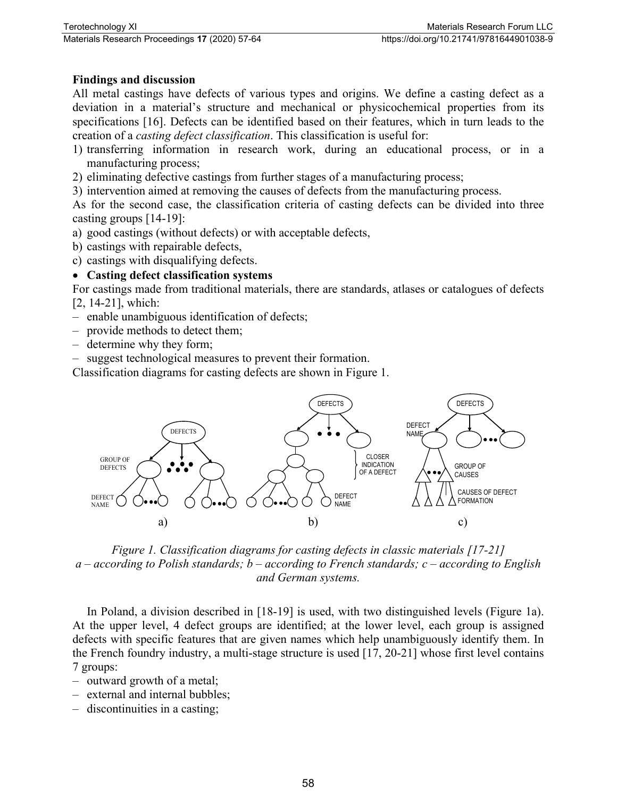## **Findings and discussion**

All metal castings have defects of various types and origins. We define a casting defect as a deviation in a material's structure and mechanical or physicochemical properties from its specifications [16]. Defects can be identified based on their features, which in turn leads to the creation of a *casting defect classification*. This classification is useful for:

- 1) transferring information in research work, during an educational process, or in a manufacturing process;
- 2) eliminating defective castings from further stages of a manufacturing process;
- 3) intervention aimed at removing the causes of defects from the manufacturing process.

As for the second case, the classification criteria of casting defects can be divided into three casting groups [14-19]:

- a) good castings (without defects) or with acceptable defects,
- b) castings with repairable defects,
- c) castings with disqualifying defects.

#### • **Casting defect classification systems**

For castings made from traditional materials, there are standards, atlases or catalogues of defects [2, 14-21], which:

- enable unambiguous identification of defects;
- provide methods to detect them;
- determine why they form;
- suggest technological measures to prevent their formation.

Classification diagrams for casting defects are shown in Figure 1.



*Figure 1. Classification diagrams for casting defects in classic materials [17-21] a – according to Polish standards; b – according to French standards; c – according to English and German systems.*

In Poland, a division described in [18-19] is used, with two distinguished levels (Figure 1a). At the upper level, 4 defect groups are identified; at the lower level, each group is assigned defects with specific features that are given names which help unambiguously identify them. In the French foundry industry, a multi-stage structure is used [17, 20-21] whose first level contains 7 groups:

- outward growth of a metal;
- external and internal bubbles;
- discontinuities in a casting;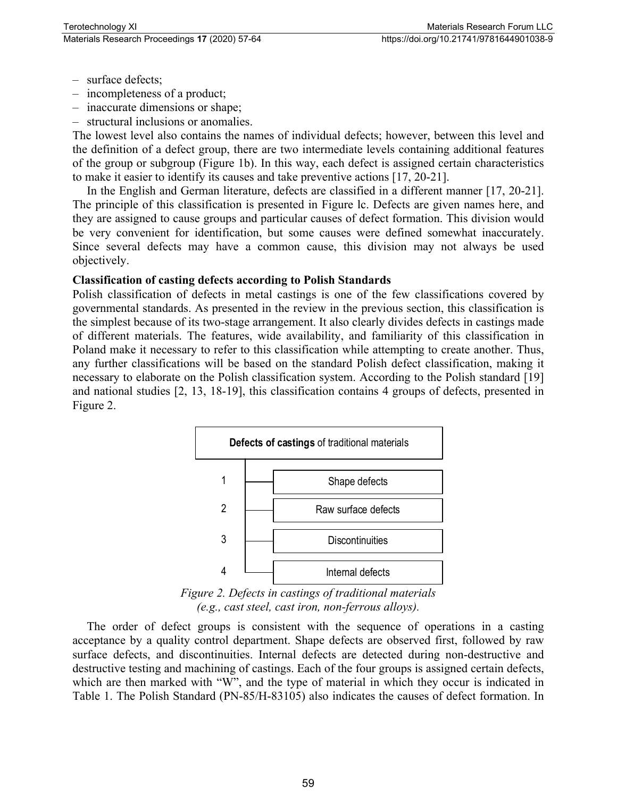- surface defects;
- incompleteness of a product;
- inaccurate dimensions or shape;
- structural inclusions or anomalies.

The lowest level also contains the names of individual defects; however, between this level and the definition of a defect group, there are two intermediate levels containing additional features of the group or subgroup (Figure 1b). In this way, each defect is assigned certain characteristics to make it easier to identify its causes and take preventive actions [17, 20-21].

In the English and German literature, defects are classified in a different manner [17, 20-21]. The principle of this classification is presented in Figure lc. Defects are given names here, and they are assigned to cause groups and particular causes of defect formation. This division would be very convenient for identification, but some causes were defined somewhat inaccurately. Since several defects may have a common cause, this division may not always be used objectively.

#### **Classification of casting defects according to Polish Standards**

Polish classification of defects in metal castings is one of the few classifications covered by governmental standards. As presented in the review in the previous section, this classification is the simplest because of its two-stage arrangement. It also clearly divides defects in castings made of different materials. The features, wide availability, and familiarity of this classification in Poland make it necessary to refer to this classification while attempting to create another. Thus, any further classifications will be based on the standard Polish defect classification, making it necessary to elaborate on the Polish classification system. According to the Polish standard [19] and national studies [2, 13, 18-19], this classification contains 4 groups of defects, presented in Figure 2.



*Figure 2. Defects in castings of traditional materials (e.g., cast steel, cast iron, non-ferrous alloys).*

The order of defect groups is consistent with the sequence of operations in a casting acceptance by a quality control department. Shape defects are observed first, followed by raw surface defects, and discontinuities. Internal defects are detected during non-destructive and destructive testing and machining of castings. Each of the four groups is assigned certain defects, which are then marked with "W", and the type of material in which they occur is indicated in Table 1. The Polish Standard (PN-85/H-83105) also indicates the causes of defect formation. In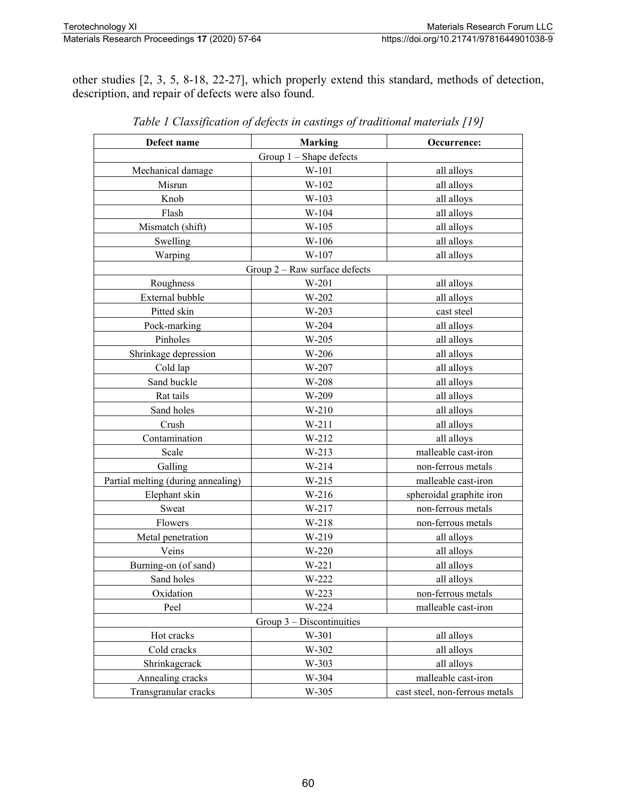other studies [2, 3, 5, 8-18, 22-27], which properly extend this standard, methods of detection, description, and repair of defects were also found.

| Defect name                        | <b>Marking</b> | Occurrence:                    |  |
|------------------------------------|----------------|--------------------------------|--|
| Group $1$ – Shape defects          |                |                                |  |
| Mechanical damage                  | W-101          | all alloys                     |  |
| Misrun                             | W-102          | all alloys                     |  |
| Knob                               | W-103          | all alloys                     |  |
| Flash                              | W-104          | all alloys                     |  |
| Mismatch (shift)                   | W-105          | all alloys                     |  |
| Swelling                           | W-106          | all alloys                     |  |
| Warping                            | W-107          | all alloys                     |  |
| Group $2 -$ Raw surface defects    |                |                                |  |
| Roughness                          | W-201          | all alloys                     |  |
| External bubble                    | W-202          | all alloys                     |  |
| Pitted skin                        | W-203          | cast steel                     |  |
| Pock-marking                       | W-204          | all alloys                     |  |
| Pinholes                           | W-205          | all alloys                     |  |
| Shrinkage depression               | W-206          | all alloys                     |  |
| Cold lap                           | W-207          | all alloys                     |  |
| Sand buckle                        | W-208          | all alloys                     |  |
| Rat tails                          | W-209          | all alloys                     |  |
| Sand holes                         | $W-210$        | all alloys                     |  |
| Crush                              | $W-211$        | all alloys                     |  |
| Contamination                      | $W-212$        | all alloys                     |  |
| Scale                              | $W-213$        | malleable cast-iron            |  |
| Galling                            | $W-214$        | non-ferrous metals             |  |
| Partial melting (during annealing) | $W-215$        | malleable cast-iron            |  |
| Elephant skin                      | W-216          | spheroidal graphite iron       |  |
| Sweat                              | W-217          | non-ferrous metals             |  |
| Flowers                            | $W-218$        | non-ferrous metals             |  |
| Metal penetration                  | W-219          | all alloys                     |  |
| Veins                              | W-220          | all alloys                     |  |
| Burning-on (of sand)               | $W-221$        | all alloys                     |  |
| Sand holes                         | W-222          | all alloys                     |  |
| Oxidation                          | W-223          | non-ferrous metals             |  |
| Peel                               | W-224          | malleable cast-iron            |  |
| Group $3 -$ Discontinuities        |                |                                |  |
| Hot cracks                         | W-301          | all alloys                     |  |
| Cold cracks                        | W-302          | all alloys                     |  |
| Shrinkagcrack                      | W-303          | all alloys                     |  |
| Annealing cracks                   | W-304          | malleable cast-iron            |  |
| Transgranular cracks               | W-305          | cast steel, non-ferrous metals |  |

*Table 1 Classification of defects in castings of traditional materials [19]*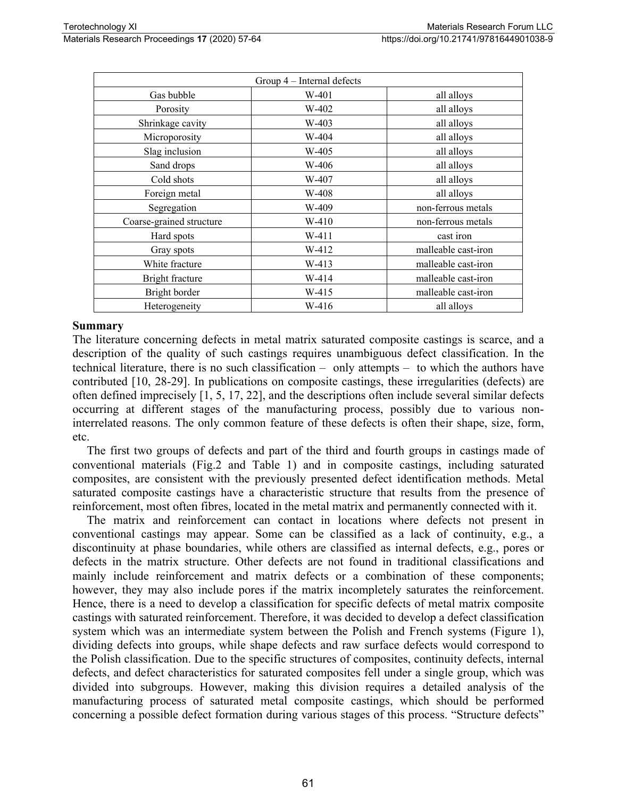| Group 4 – Internal defects |         |                     |
|----------------------------|---------|---------------------|
| Gas bubble                 | $W-401$ | all alloys          |
| Porosity                   | W-402   | all alloys          |
| Shrinkage cavity           | W-403   | all alloys          |
| Microporosity              | W-404   | all alloys          |
| Slag inclusion             | W-405   | all alloys          |
| Sand drops                 | W-406   | all alloys          |
| Cold shots                 | W-407   | all alloys          |
| Foreign metal              | W-408   | all alloys          |
| Segregation                | W-409   | non-ferrous metals  |
| Coarse-grained structure   | W-410   | non-ferrous metals  |
| Hard spots                 | W-411   | cast iron           |
| Gray spots                 | W-412   | malleable cast-iron |
| White fracture             | W-413   | malleable cast-iron |
| Bright fracture            | W-414   | malleable cast-iron |
| Bright border              | W-415   | malleable cast-iron |
| Heterogeneity              | W-416   | all alloys          |

#### **Summary**

The literature concerning defects in metal matrix saturated composite castings is scarce, and a description of the quality of such castings requires unambiguous defect classification. In the technical literature, there is no such classification – only attempts – to which the authors have contributed [10, 28-29]. In publications on composite castings, these irregularities (defects) are often defined imprecisely [1, 5, 17, 22], and the descriptions often include several similar defects occurring at different stages of the manufacturing process, possibly due to various noninterrelated reasons. The only common feature of these defects is often their shape, size, form, etc.

The first two groups of defects and part of the third and fourth groups in castings made of conventional materials (Fig.2 and Table 1) and in composite castings, including saturated composites, are consistent with the previously presented defect identification methods. Metal saturated composite castings have a characteristic structure that results from the presence of reinforcement, most often fibres, located in the metal matrix and permanently connected with it.

The matrix and reinforcement can contact in locations where defects not present in conventional castings may appear. Some can be classified as a lack of continuity, e.g., a discontinuity at phase boundaries, while others are classified as internal defects, e.g., pores or defects in the matrix structure. Other defects are not found in traditional classifications and mainly include reinforcement and matrix defects or a combination of these components; however, they may also include pores if the matrix incompletely saturates the reinforcement. Hence, there is a need to develop a classification for specific defects of metal matrix composite castings with saturated reinforcement. Therefore, it was decided to develop a defect classification system which was an intermediate system between the Polish and French systems (Figure 1), dividing defects into groups, while shape defects and raw surface defects would correspond to the Polish classification. Due to the specific structures of composites, continuity defects, internal defects, and defect characteristics for saturated composites fell under a single group, which was divided into subgroups. However, making this division requires a detailed analysis of the manufacturing process of saturated metal composite castings, which should be performed concerning a possible defect formation during various stages of this process. "Structure defects"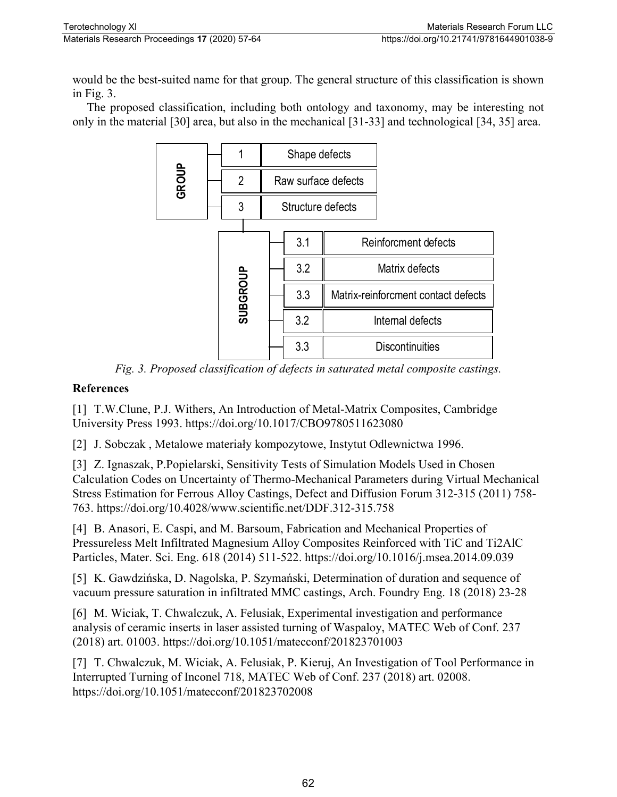would be the best-suited name for that group. The general structure of this classification is shown in Fig. 3.

The proposed classification, including both ontology and taxonomy, may be interesting not only in the material [30] area, but also in the mechanical [31-33] and technological [34, 35] area.



*Fig. 3. Proposed classification of defects in saturated metal composite castings.*

# **References**

[1] T.W.Clune, P.J. Withers, An Introduction of Metal-Matrix Composites, Cambridge University Press 1993. https://doi.org/10.1017/CBO9780511623080

[2] J. Sobczak , Metalowe materiały kompozytowe, Instytut Odlewnictwa 1996.

[3] Z. Ignaszak, P. Popielarski, Sensitivity Tests of Simulation Models Used in Chosen Calculation Codes on Uncertainty of Thermo-Mechanical Parameters during Virtual Mechanical Stress Estimation for Ferrous Alloy Castings, Defect and Diffusion Forum 312-315 (2011) 758- 763. https://doi.org/10.4028/www.scientific.net/DDF.312-315.758

[4] B. Anasori, E. Caspi, and M. Barsoum, Fabrication and Mechanical Properties of Pressureless Melt Infiltrated Magnesium Alloy Composites Reinforced with TiC and Ti2AlC Particles, Mater. Sci. Eng. 618 (2014) 511-522. https://doi.org/10.1016/j.msea.2014.09.039

[5] K. Gawdzińska, D. Nagolska, P. Szymański, Determination of duration and sequence of vacuum pressure saturation in infiltrated MMC castings, Arch. Foundry Eng. 18 (2018) 23-28

[6] M. Wiciak, T. Chwalczuk, A. Felusiak, Experimental investigation and performance analysis of ceramic inserts in laser assisted turning of Waspaloy, MATEC Web of Conf. 237 (2018) art. 01003. https://doi.org/10.1051/matecconf/201823701003

[7] T. Chwalczuk, M. Wiciak, A. Felusiak, P. Kieruj, An Investigation of Tool Performance in Interrupted Turning of Inconel 718, MATEC Web of Conf. 237 (2018) art. 02008. https://doi.org/10.1051/matecconf/201823702008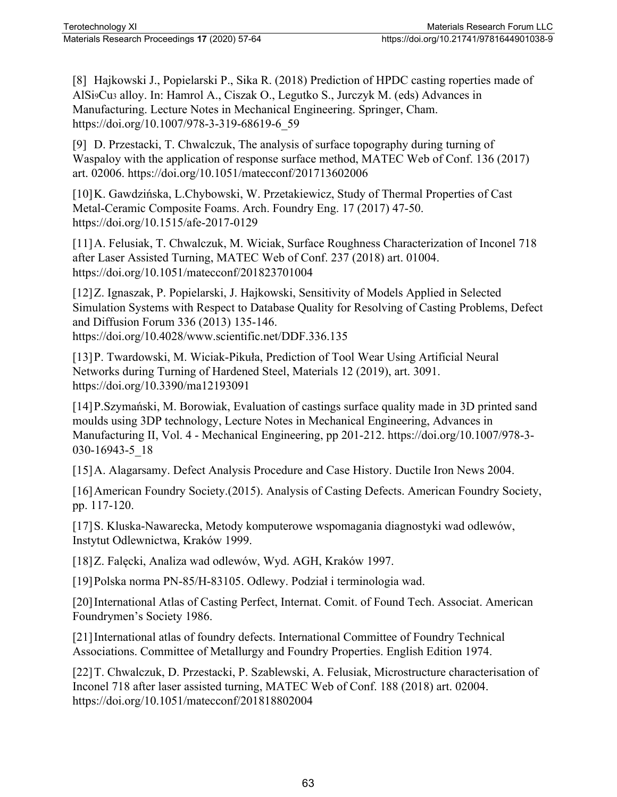[8] Hajkowski J., Popielarski P., Sika R. (2018) Prediction of HPDC casting roperties made of AlSi9Cu3 alloy. In: Hamrol A., Ciszak O., Legutko S., Jurczyk M. (eds) Advances in Manufacturing. Lecture Notes in Mechanical Engineering. Springer, Cham. https://doi.org/10.1007/978-3-319-68619-6\_59

[9] D. Przestacki, T. Chwalczuk, The analysis of surface topography during turning of Waspaloy with the application of response surface method, MATEC Web of Conf. 136 (2017) art. 02006. https://doi.org/10.1051/matecconf/201713602006

[10]K. Gawdzińska, L.Chybowski, W. Przetakiewicz, Study of Thermal Properties of Cast Metal-Ceramic Composite Foams. Arch. Foundry Eng. 17 (2017) 47-50. https://doi.org/10.1515/afe-2017-0129

[11]A. Felusiak, T. Chwalczuk, M. Wiciak, Surface Roughness Characterization of Inconel 718 after Laser Assisted Turning, MATEC Web of Conf. 237 (2018) art. 01004. https://doi.org/10.1051/matecconf/201823701004

[12]Z. Ignaszak, P. Popielarski, J. Hajkowski, Sensitivity of Models Applied in Selected Simulation Systems with Respect to Database Quality for Resolving of Casting Problems, Defect and Diffusion Forum 336 (2013) 135-146. https://doi.org/10.4028/www.scientific.net/DDF.336.135

[13]P. Twardowski, M. Wiciak-Pikuła, Prediction of Tool Wear Using Artificial Neural Networks during Turning of Hardened Steel, Materials 12 (2019), art. 3091. https://doi.org/10.3390/ma12193091

[14]P.Szymański, M. Borowiak, Evaluation of castings surface quality made in 3D printed sand moulds using 3DP technology, Lecture Notes in Mechanical Engineering, Advances in Manufacturing II, Vol. 4 - Mechanical Engineering, pp 201-212. https://doi.org/10.1007/978-3- 030-16943-5\_18

[15]A. Alagarsamy. Defect Analysis Procedure and Case History. Ductile Iron News 2004.

[16] American Foundry Society.(2015). Analysis of Casting Defects. American Foundry Society, pp. 117-120.

[17]S. Kluska-Nawarecka, Metody komputerowe wspomagania diagnostyki wad odlewów, Instytut Odlewnictwa, Kraków 1999.

[18]Z. Falęcki, Analiza wad odlewów, Wyd. AGH, Kraków 1997.

[19]Polska norma PN-85/H-83105. Odlewy. Podział i terminologia wad.

[20]International Atlas of Casting Perfect, Internat. Comit. of Found Tech. Associat. American Foundrymen's Society 1986.

[21]International atlas of foundry defects. International Committee of Foundry Technical Associations. Committee of Metallurgy and Foundry Properties. English Edition 1974.

[22]T. Chwalczuk, D. Przestacki, P. Szablewski, A. Felusiak, Microstructure characterisation of Inconel 718 after laser assisted turning, MATEC Web of Conf. 188 (2018) art. 02004. https://doi.org/10.1051/matecconf/201818802004